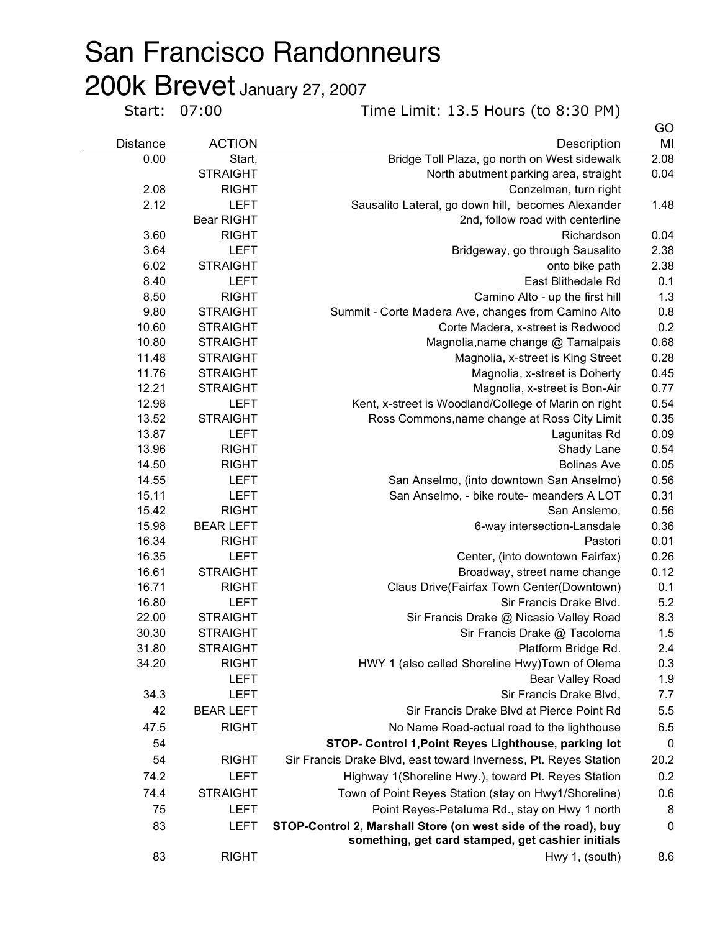## San Francisco Randonneurs

**200k Brevet** January 27, 2007<br>
Start: 07:00

Time Limit: 13.5 Hours (to 8:30 PM)

|                 |                             |                                                                                                                     | GO         |
|-----------------|-----------------------------|---------------------------------------------------------------------------------------------------------------------|------------|
| <b>Distance</b> | <b>ACTION</b>               | Description                                                                                                         | MI         |
| 0.00            | Start,                      | Bridge Toll Plaza, go north on West sidewalk                                                                        | 2.08       |
|                 | <b>STRAIGHT</b>             | North abutment parking area, straight                                                                               | 0.04       |
| 2.08            | <b>RIGHT</b>                | Conzelman, turn right                                                                                               |            |
| 2.12            | <b>LEFT</b>                 | Sausalito Lateral, go down hill, becomes Alexander                                                                  | 1.48       |
|                 | <b>Bear RIGHT</b>           | 2nd, follow road with centerline                                                                                    |            |
| 3.60            | <b>RIGHT</b>                | Richardson                                                                                                          | 0.04       |
| 3.64            | <b>LEFT</b>                 | Bridgeway, go through Sausalito                                                                                     | 2.38       |
| 6.02            | <b>STRAIGHT</b>             | onto bike path                                                                                                      | 2.38       |
| 8.40            | <b>LEFT</b>                 | East Blithedale Rd                                                                                                  | 0.1        |
| 8.50            | <b>RIGHT</b>                | Camino Alto - up the first hill                                                                                     | 1.3        |
| 9.80            | <b>STRAIGHT</b>             | Summit - Corte Madera Ave, changes from Camino Alto                                                                 | 0.8        |
| 10.60           | <b>STRAIGHT</b>             | Corte Madera, x-street is Redwood                                                                                   | 0.2        |
| 10.80           | <b>STRAIGHT</b>             | Magnolia, name change @ Tamalpais                                                                                   | 0.68       |
| 11.48           | <b>STRAIGHT</b>             | Magnolia, x-street is King Street                                                                                   | 0.28       |
| 11.76           | <b>STRAIGHT</b>             | Magnolia, x-street is Doherty                                                                                       | 0.45       |
| 12.21           | <b>STRAIGHT</b>             | Magnolia, x-street is Bon-Air                                                                                       | 0.77       |
| 12.98           | <b>LEFT</b>                 | Kent, x-street is Woodland/College of Marin on right                                                                | 0.54       |
| 13.52           | <b>STRAIGHT</b>             | Ross Commons, name change at Ross City Limit                                                                        | 0.35       |
| 13.87           | <b>LEFT</b>                 | Lagunitas Rd                                                                                                        | 0.09       |
| 13.96           | <b>RIGHT</b>                | Shady Lane                                                                                                          | 0.54       |
| 14.50           | <b>RIGHT</b>                | <b>Bolinas Ave</b>                                                                                                  | 0.05       |
| 14.55           | <b>LEFT</b>                 | San Anselmo, (into downtown San Anselmo)                                                                            | 0.56       |
| 15.11           | <b>LEFT</b>                 | San Anselmo, - bike route- meanders A LOT                                                                           | 0.31       |
| 15.42           | <b>RIGHT</b>                | San Anslemo,                                                                                                        | 0.56       |
| 15.98           | <b>BEAR LEFT</b>            | 6-way intersection-Lansdale                                                                                         | 0.36       |
| 16.34           | <b>RIGHT</b>                | Pastori                                                                                                             | 0.01       |
| 16.35           | <b>LEFT</b>                 | Center, (into downtown Fairfax)                                                                                     | 0.26       |
| 16.61<br>16.71  | <b>STRAIGHT</b>             | Broadway, street name change                                                                                        | 0.12       |
| 16.80           | <b>RIGHT</b><br><b>LEFT</b> | Claus Drive(Fairfax Town Center(Downtown)                                                                           | 0.1<br>5.2 |
| 22.00           | <b>STRAIGHT</b>             | Sir Francis Drake Blvd.<br>Sir Francis Drake @ Nicasio Valley Road                                                  | 8.3        |
| 30.30           | <b>STRAIGHT</b>             |                                                                                                                     | 1.5        |
| 31.80           | <b>STRAIGHT</b>             | Sir Francis Drake @ Tacoloma<br>Platform Bridge Rd.                                                                 | 2.4        |
| 34.20           | <b>RIGHT</b>                | HWY 1 (also called Shoreline Hwy) Town of Olema                                                                     | 0.3        |
|                 | <b>LEFT</b>                 | Bear Valley Road                                                                                                    | 1.9        |
| 34.3            | <b>LEFT</b>                 | Sir Francis Drake Blvd,                                                                                             | 7.7        |
| 42              | <b>BEAR LEFT</b>            | Sir Francis Drake Blvd at Pierce Point Rd                                                                           | 5.5        |
|                 |                             |                                                                                                                     |            |
| 47.5            | <b>RIGHT</b>                | No Name Road-actual road to the lighthouse                                                                          | 6.5        |
| 54              |                             | STOP- Control 1, Point Reyes Lighthouse, parking lot                                                                | 0          |
| 54              | <b>RIGHT</b>                | Sir Francis Drake Blvd, east toward Inverness, Pt. Reyes Station                                                    | 20.2       |
| 74.2            | <b>LEFT</b>                 | Highway 1(Shoreline Hwy.), toward Pt. Reyes Station                                                                 | 0.2        |
| 74.4            | <b>STRAIGHT</b>             | Town of Point Reyes Station (stay on Hwy1/Shoreline)                                                                | 0.6        |
| 75              | <b>LEFT</b>                 | Point Reyes-Petaluma Rd., stay on Hwy 1 north                                                                       | 8          |
| 83              | <b>LEFT</b>                 | STOP-Control 2, Marshall Store (on west side of the road), buy<br>something, get card stamped, get cashier initials | $\pmb{0}$  |
| 83              | <b>RIGHT</b>                | Hwy 1, (south)                                                                                                      | 8.6        |